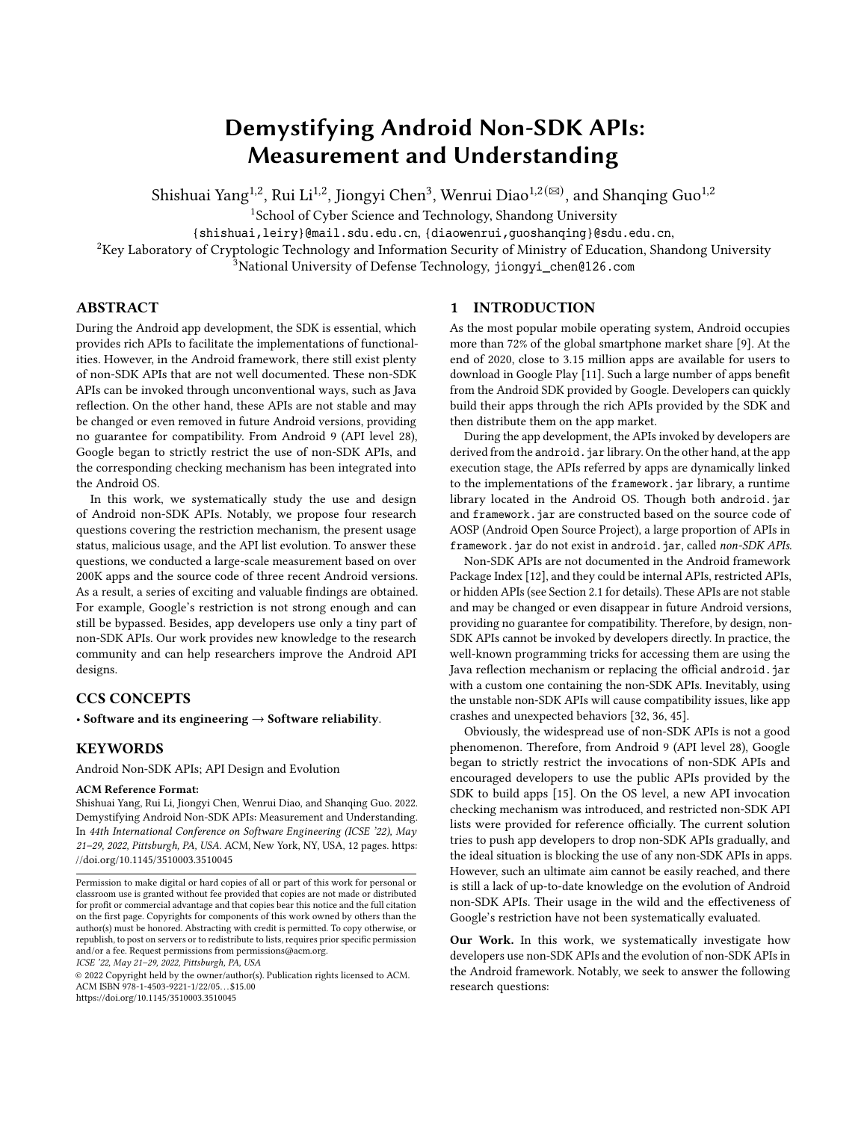# Demystifying Android Non-SDK APIs: Measurement and Understanding

Shishuai Yang $^{1,2}$ , Rui Li $^{1,2}$ , Jiongyi Chen $^3$ , Wenrui Diao $^{1,2}$ ( $^{\boxtimes)}$ , and Shanqing Guo $^{1,2}$ 

<sup>1</sup>School of Cyber Science and Technology, Shandong University

{shishuai,leiry}@mail.sdu.edu.cn, {diaowenrui,guoshanqing}@sdu.edu.cn,

<sup>2</sup>Key Laboratory of Cryptologic Technology and Information Security of Ministry of Education, Shandong University

<sup>3</sup>National University of Defense Technology, jiongyi\_chen@126.com

# ABSTRACT

During the Android app development, the SDK is essential, which provides rich APIs to facilitate the implementations of functionalities. However, in the Android framework, there still exist plenty of non-SDK APIs that are not well documented. These non-SDK APIs can be invoked through unconventional ways, such as Java reflection. On the other hand, these APIs are not stable and may be changed or even removed in future Android versions, providing no guarantee for compatibility. From Android 9 (API level 28), Google began to strictly restrict the use of non-SDK APIs, and the corresponding checking mechanism has been integrated into the Android OS.

In this work, we systematically study the use and design of Android non-SDK APIs. Notably, we propose four research questions covering the restriction mechanism, the present usage status, malicious usage, and the API list evolution. To answer these questions, we conducted a large-scale measurement based on over 200K apps and the source code of three recent Android versions. As a result, a series of exciting and valuable findings are obtained. For example, Google's restriction is not strong enough and can still be bypassed. Besides, app developers use only a tiny part of non-SDK APIs. Our work provides new knowledge to the research community and can help researchers improve the Android API designs.

# CCS CONCEPTS

• Software and its engineering  $\rightarrow$  Software reliability.

# **KEYWORDS**

Android Non-SDK APIs; API Design and Evolution

#### ACM Reference Format:

Shishuai Yang, Rui Li, Jiongyi Chen, Wenrui Diao, and Shanqing Guo. 2022. Demystifying Android Non-SDK APIs: Measurement and Understanding. In 44th International Conference on Software Engineering (ICSE '22), May 21–29, 2022, Pittsburgh, PA, USA. ACM, New York, NY, USA, 12 pages. https: //doi.org/10.1145/3510003.3510045

ICSE '22, May 21–29, 2022, Pittsburgh, PA, USA

© 2022 Copyright held by the owner/author(s). Publication rights licensed to ACM. ACM ISBN 978-1-4503-9221-1/22/05. . . \$15.00 https://doi.org/10.1145/3510003.3510045

# 1 INTRODUCTION

As the most popular mobile operating system, Android occupies more than 72% of the global smartphone market share [9]. At the end of 2020, close to 3.15 million apps are available for users to download in Google Play [11]. Such a large number of apps benefit from the Android SDK provided by Google. Developers can quickly build their apps through the rich APIs provided by the SDK and then distribute them on the app market.

During the app development, the APIs invoked by developers are derived from the android. jar library. On the other hand, at the app execution stage, the APIs referred by apps are dynamically linked to the implementations of the framework.jar library, a runtime library located in the Android OS. Though both android.jar and framework. jar are constructed based on the source code of AOSP (Android Open Source Project), a large proportion of APIs in framework.jar do not exist in android.jar, called non-SDK APIs.

Non-SDK APIs are not documented in the Android framework Package Index [12], and they could be internal APIs, restricted APIs, or hidden APIs (see Section 2.1 for details). These APIs are not stable and may be changed or even disappear in future Android versions, providing no guarantee for compatibility. Therefore, by design, non-SDK APIs cannot be invoked by developers directly. In practice, the well-known programming tricks for accessing them are using the Java reflection mechanism or replacing the official android.jar with a custom one containing the non-SDK APIs. Inevitably, using the unstable non-SDK APIs will cause compatibility issues, like app crashes and unexpected behaviors [32, 36, 45].

Obviously, the widespread use of non-SDK APIs is not a good phenomenon. Therefore, from Android 9 (API level 28), Google began to strictly restrict the invocations of non-SDK APIs and encouraged developers to use the public APIs provided by the SDK to build apps [15]. On the OS level, a new API invocation checking mechanism was introduced, and restricted non-SDK API lists were provided for reference officially. The current solution tries to push app developers to drop non-SDK APIs gradually, and the ideal situation is blocking the use of any non-SDK APIs in apps. However, such an ultimate aim cannot be easily reached, and there is still a lack of up-to-date knowledge on the evolution of Android non-SDK APIs. Their usage in the wild and the effectiveness of Google's restriction have not been systematically evaluated.

Our Work. In this work, we systematically investigate how developers use non-SDK APIs and the evolution of non-SDK APIs in the Android framework. Notably, we seek to answer the following research questions:

Permission to make digital or hard copies of all or part of this work for personal or classroom use is granted without fee provided that copies are not made or distributed for profit or commercial advantage and that copies bear this notice and the full citation on the first page. Copyrights for components of this work owned by others than the author(s) must be honored. Abstracting with credit is permitted. To copy otherwise, or republish, to post on servers or to redistribute to lists, requires prior specific permission and/or a fee. Request permissions from permissions@acm.org.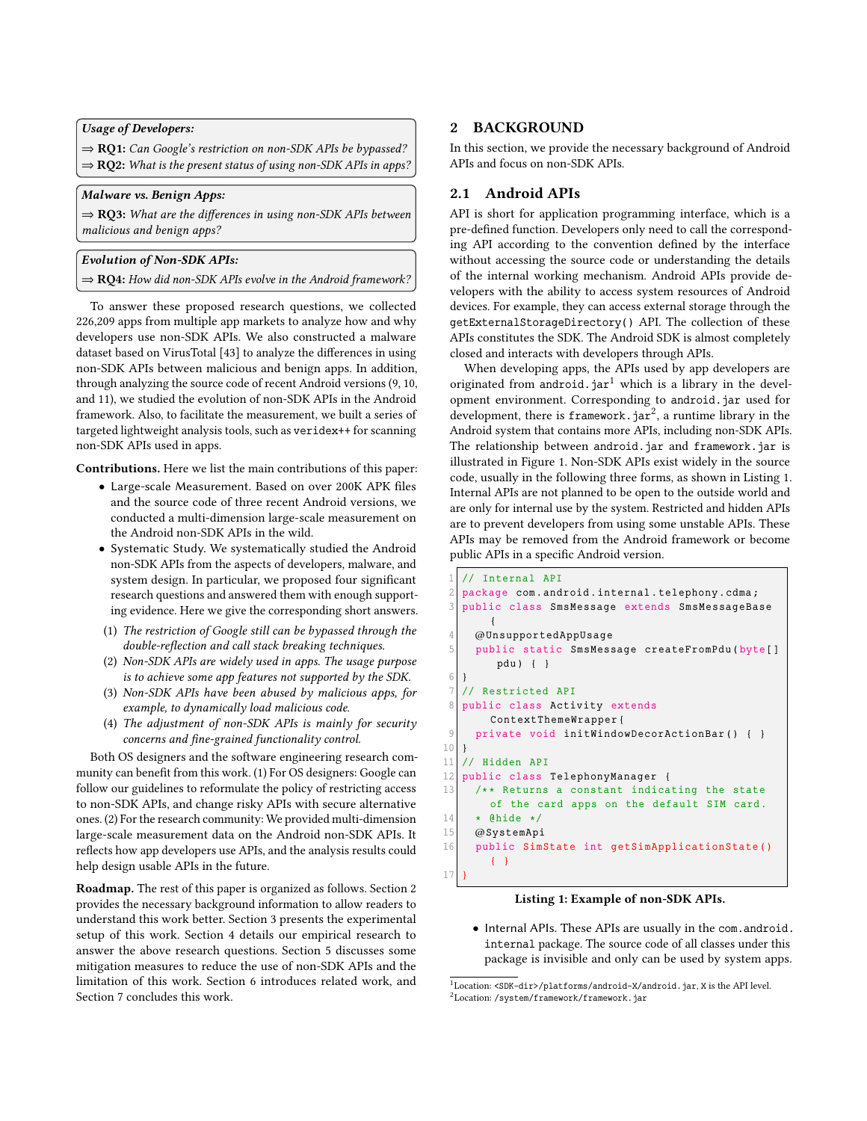Usage of Developers:

⇒ RQ1: Can Google's restriction on non-SDK APIs be bypassed?  $\Rightarrow$  RQ2: What is the present status of using non-SDK APIs in apps?

# Malware vs. Benign Apps:

 $\Rightarrow$  RQ3: What are the differences in using non-SDK APIs between malicious and benign apps?

### Evolution of Non-SDK APIs:

 $\Rightarrow$  RQ4: How did non-SDK APIs evolve in the Android framework?

To answer these proposed research questions, we collected 226,209 apps from multiple app markets to analyze how and why developers use non-SDK APIs. We also constructed a malware dataset based on VirusTotal [43] to analyze the differences in using non-SDK APIs between malicious and benign apps. In addition, through analyzing the source code of recent Android versions (9, 10, and 11), we studied the evolution of non-SDK APIs in the Android framework. Also, to facilitate the measurement, we built a series of targeted lightweight analysis tools, such as veridex++ for scanning non-SDK APIs used in apps.

Contributions. Here we list the main contributions of this paper:

- Large-scale Measurement. Based on over 200K APK files and the source code of three recent Android versions, we conducted a multi-dimension large-scale measurement on the Android non-SDK APIs in the wild.
- Systematic Study. We systematically studied the Android non-SDK APIs from the aspects of developers, malware, and system design. In particular, we proposed four significant research questions and answered them with enough supporting evidence. Here we give the corresponding short answers.
- (1) The restriction of Google still can be bypassed through the double-reflection and call stack breaking techniques.
- (2) Non-SDK APIs are widely used in apps. The usage purpose is to achieve some app features not supported by the SDK.
- (3) Non-SDK APIs have been abused by malicious apps, for example, to dynamically load malicious code.
- (4) The adjustment of non-SDK APIs is mainly for security concerns and fine-grained functionality control.

Both OS designers and the software engineering research community can benefit from this work. (1) For OS designers: Google can follow our guidelines to reformulate the policy of restricting access to non-SDK APIs, and change risky APIs with secure alternative ones. (2) For the research community: We provided multi-dimension large-scale measurement data on the Android non-SDK APIs. It reflects how app developers use APIs, and the analysis results could help design usable APIs in the future.

Roadmap. The rest of this paper is organized as follows. Section 2 provides the necessary background information to allow readers to understand this work better. Section 3 presents the experimental setup of this work. Section 4 details our empirical research to answer the above research questions. Section 5 discusses some mitigation measures to reduce the use of non-SDK APIs and the limitation of this work. Section 6 introduces related work, and Section 7 concludes this work.

### 2 BACKGROUND

In this section, we provide the necessary background of Android APIs and focus on non-SDK APIs.

### 2.1 Android APIs

API is short for application programming interface, which is a pre-defined function. Developers only need to call the corresponding API according to the convention defined by the interface without accessing the source code or understanding the details of the internal working mechanism. Android APIs provide developers with the ability to access system resources of Android devices. For example, they can access external storage through the getExternalStorageDirectory() API. The collection of these APIs constitutes the SDK. The Android SDK is almost completely closed and interacts with developers through APIs.

When developing apps, the APIs used by app developers are originated from android.  $\text{jar}^1$  which is a library in the development environment. Corresponding to android, jar used for development, there is framework.jar<sup>2</sup>, a runtime library in the Android system that contains more APIs, including non-SDK APIs. The relationship between android.jar and framework.jar is illustrated in Figure 1. Non-SDK APIs exist widely in the source code, usually in the following three forms, as shown in Listing 1. Internal APIs are not planned to be open to the outside world and are only for internal use by the system. Restricted and hidden APIs are to prevent developers from using some unstable APIs. These APIs may be removed from the Android framework or become public APIs in a specific Android version.

```
// Internal API
  package com. android. internal. telephony. cdma;
   public class SmsMessage extends SmsMessageBase
       {
     4 @UnsupportedAppUsage
     public static SmsMessage createFromPdu (byte []
        pdu ) { }
6 }
  // Restricted API
  public class Activity extends
       ContextThemeWrapper {
9 private void initWindowDecorActionBar () { }
10 }
11 // Hidden API
12 public class TelephonyManager {
13 /** Returns a constant indicating the state
       of the card apps on the default SIM card .
14 \star @hide \star/
15 @SystemApi
16 public SimState int getSimApplicationState ()
       { }
17 }
```
### Listing 1: Example of non-SDK APIs.

• Internal APIs. These APIs are usually in the com.android. internal package. The source code of all classes under this package is invisible and only can be used by system apps.

<sup>&</sup>lt;sup>1</sup>Location: <SDK-dir>/platforms/android-X/android.jar, X is the API level. <sup>2</sup>Location: /system/framework/framework.jar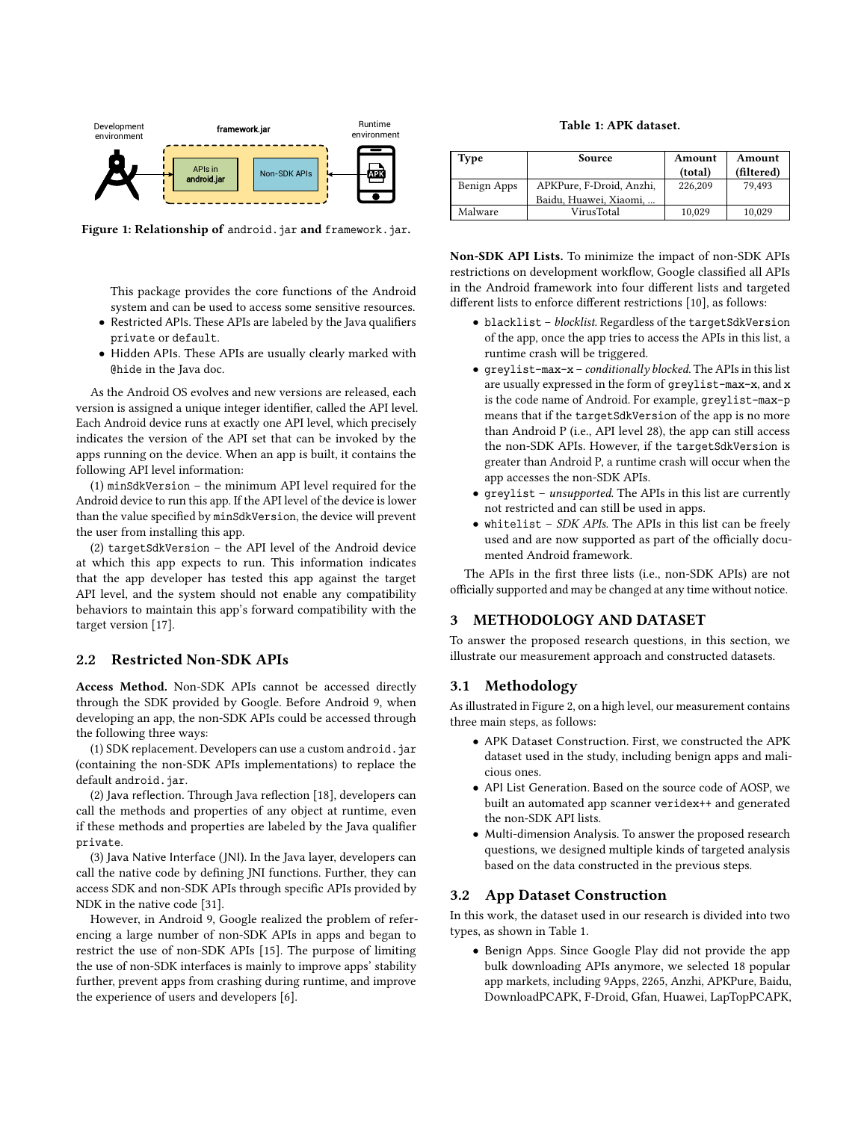

Figure 1: Relationship of android. jar and framework. jar.

This package provides the core functions of the Android system and can be used to access some sensitive resources.

- Restricted APIs. These APIs are labeled by the Java qualifiers private or default.
- Hidden APIs. These APIs are usually clearly marked with @hide in the Java doc.

As the Android OS evolves and new versions are released, each version is assigned a unique integer identifier, called the API level. Each Android device runs at exactly one API level, which precisely indicates the version of the API set that can be invoked by the apps running on the device. When an app is built, it contains the following API level information:

(1) minSdkVersion – the minimum API level required for the Android device to run this app. If the API level of the device is lower than the value specified by minSdkVersion, the device will prevent the user from installing this app.

(2) targetSdkVersion – the API level of the Android device at which this app expects to run. This information indicates that the app developer has tested this app against the target API level, and the system should not enable any compatibility behaviors to maintain this app's forward compatibility with the target version [17].

### 2.2 Restricted Non-SDK APIs

Access Method. Non-SDK APIs cannot be accessed directly through the SDK provided by Google. Before Android 9, when developing an app, the non-SDK APIs could be accessed through the following three ways:

(1) SDK replacement. Developers can use a custom android. jar (containing the non-SDK APIs implementations) to replace the default android.jar.

(2) Java reflection. Through Java reflection [18], developers can call the methods and properties of any object at runtime, even if these methods and properties are labeled by the Java qualifier private.

(3) Java Native Interface (JNI). In the Java layer, developers can call the native code by defining JNI functions. Further, they can access SDK and non-SDK APIs through specific APIs provided by NDK in the native code [31].

However, in Android 9, Google realized the problem of referencing a large number of non-SDK APIs in apps and began to restrict the use of non-SDK APIs [15]. The purpose of limiting the use of non-SDK interfaces is mainly to improve apps' stability further, prevent apps from crashing during runtime, and improve the experience of users and developers [6].

Table 1: APK dataset.

| Type        | Source                   | Amount<br>(total) | Amount<br>(filtered) |
|-------------|--------------------------|-------------------|----------------------|
| Benign Apps | APKPure, F-Droid, Anzhi, | 226.209           | 79.493               |
|             | Baidu, Huawei, Xiaomi,   |                   |                      |
| Malware     | VirusTotal               | 10,029            | 10,029               |

Non-SDK API Lists. To minimize the impact of non-SDK APIs restrictions on development workflow, Google classified all APIs in the Android framework into four different lists and targeted different lists to enforce different restrictions [10], as follows:

- blacklist blocklist. Regardless of the targetSdkVersion of the app, once the app tries to access the APIs in this list, a runtime crash will be triggered.
- greylist-max-x conditionally blocked. The APIs in this list are usually expressed in the form of greylist-max-x, and x is the code name of Android. For example, greylist-max-p means that if the targetSdkVersion of the app is no more than Android P (i.e., API level 28), the app can still access the non-SDK APIs. However, if the targetSdkVersion is greater than Android P, a runtime crash will occur when the app accesses the non-SDK APIs.
- greylist unsupported. The APIs in this list are currently not restricted and can still be used in apps.
- whitelist SDK APIs. The APIs in this list can be freely used and are now supported as part of the officially documented Android framework.

The APIs in the first three lists (i.e., non-SDK APIs) are not officially supported and may be changed at any time without notice.

### 3 METHODOLOGY AND DATASET

To answer the proposed research questions, in this section, we illustrate our measurement approach and constructed datasets.

### 3.1 Methodology

As illustrated in Figure 2, on a high level, our measurement contains three main steps, as follows:

- APK Dataset Construction. First, we constructed the APK dataset used in the study, including benign apps and malicious ones.
- API List Generation. Based on the source code of AOSP, we built an automated app scanner veridex++ and generated the non-SDK API lists.
- Multi-dimension Analysis. To answer the proposed research questions, we designed multiple kinds of targeted analysis based on the data constructed in the previous steps.

## 3.2 App Dataset Construction

In this work, the dataset used in our research is divided into two types, as shown in Table 1.

• Benign Apps. Since Google Play did not provide the app bulk downloading APIs anymore, we selected 18 popular app markets, including 9Apps, 2265, Anzhi, APKPure, Baidu, DownloadPCAPK, F-Droid, Gfan, Huawei, LapTopPCAPK,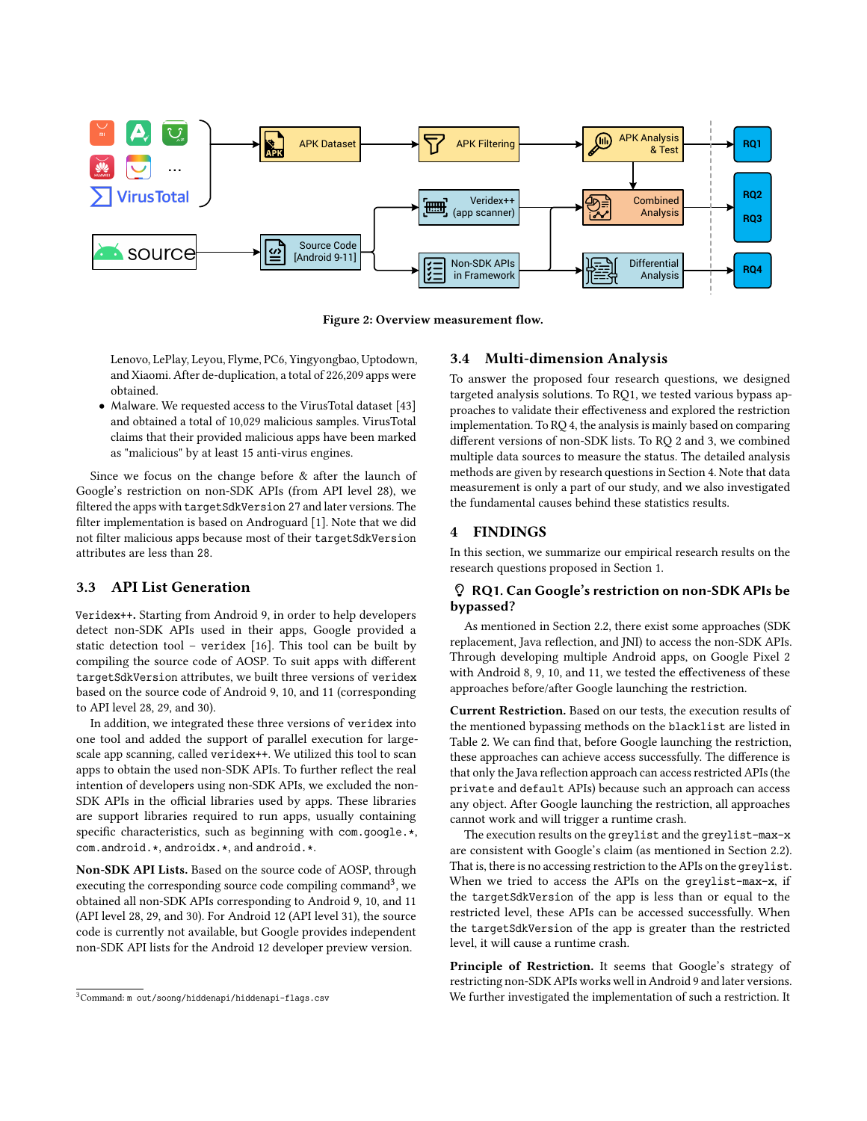

Figure 2: Overview measurement flow.

Lenovo, LePlay, Leyou, Flyme, PC6, Yingyongbao, Uptodown, and Xiaomi. After de-duplication, a total of 226,209 apps were obtained.

• Malware. We requested access to the VirusTotal dataset [43] and obtained a total of 10,029 malicious samples. VirusTotal claims that their provided malicious apps have been marked as "malicious" by at least 15 anti-virus engines.

Since we focus on the change before & after the launch of Google's restriction on non-SDK APIs (from API level 28), we filtered the apps with targetSdkVersion 27 and later versions. The filter implementation is based on Androguard [1]. Note that we did not filter malicious apps because most of their targetSdkVersion attributes are less than 28.

# 3.3 API List Generation

Veridex++. Starting from Android 9, in order to help developers detect non-SDK APIs used in their apps, Google provided a static detection tool – veridex [16]. This tool can be built by compiling the source code of AOSP. To suit apps with different targetSdkVersion attributes, we built three versions of veridex based on the source code of Android 9, 10, and 11 (corresponding to API level 28, 29, and 30).

In addition, we integrated these three versions of veridex into one tool and added the support of parallel execution for largescale app scanning, called veridex++. We utilized this tool to scan apps to obtain the used non-SDK APIs. To further reflect the real intention of developers using non-SDK APIs, we excluded the non-SDK APIs in the official libraries used by apps. These libraries are support libraries required to run apps, usually containing specific characteristics, such as beginning with com.google.\*, com.android.\*, androidx.\*, and android.\*.

Non-SDK API Lists. Based on the source code of AOSP, through executing the corresponding source code compiling command<sup>3</sup>, we obtained all non-SDK APIs corresponding to Android 9, 10, and 11 (API level 28, 29, and 30). For Android 12 (API level 31), the source code is currently not available, but Google provides independent non-SDK API lists for the Android 12 developer preview version.

### 3.4 Multi-dimension Analysis

To answer the proposed four research questions, we designed targeted analysis solutions. To RQ1, we tested various bypass approaches to validate their effectiveness and explored the restriction implementation. To RQ 4, the analysis is mainly based on comparing different versions of non-SDK lists. To RQ 2 and 3, we combined multiple data sources to measure the status. The detailed analysis methods are given by research questions in Section 4. Note that data measurement is only a part of our study, and we also investigated the fundamental causes behind these statistics results.

# 4 FINDINGS

In this section, we summarize our empirical research results on the research questions proposed in Section 1.

#### $f_0$ :// $\alpha$ ://doing-one]  $\alpha$  RQ1. Can Google's restriction on non-SDK APIs be bypassed?

As mentioned in Section 2.2, there exist some approaches (SDK replacement, Java reflection, and JNI) to access the non-SDK APIs. Through developing multiple Android apps, on Google Pixel 2 with Android 8, 9, 10, and 11, we tested the effectiveness of these approaches before/after Google launching the restriction.

Current Restriction. Based on our tests, the execution results of the mentioned bypassing methods on the blacklist are listed in Table 2. We can find that, before Google launching the restriction, these approaches can achieve access successfully. The difference is that only the Java reflection approach can access restricted APIs (the private and default APIs) because such an approach can access any object. After Google launching the restriction, all approaches cannot work and will trigger a runtime crash.

The execution results on the greylist and the greylist-max-x are consistent with Google's claim (as mentioned in Section 2.2). That is, there is no accessing restriction to the APIs on the greylist. When we tried to access the APIs on the greylist-max-x, if the targetSdkVersion of the app is less than or equal to the restricted level, these APIs can be accessed successfully. When the targetSdkVersion of the app is greater than the restricted level, it will cause a runtime crash.

Principle of Restriction. It seems that Google's strategy of restricting non-SDK APIs works well in Android 9 and later versions. We further investigated the implementation of such a restriction. It

<sup>3</sup>Command: m out/soong/hiddenapi/hiddenapi-flags.csv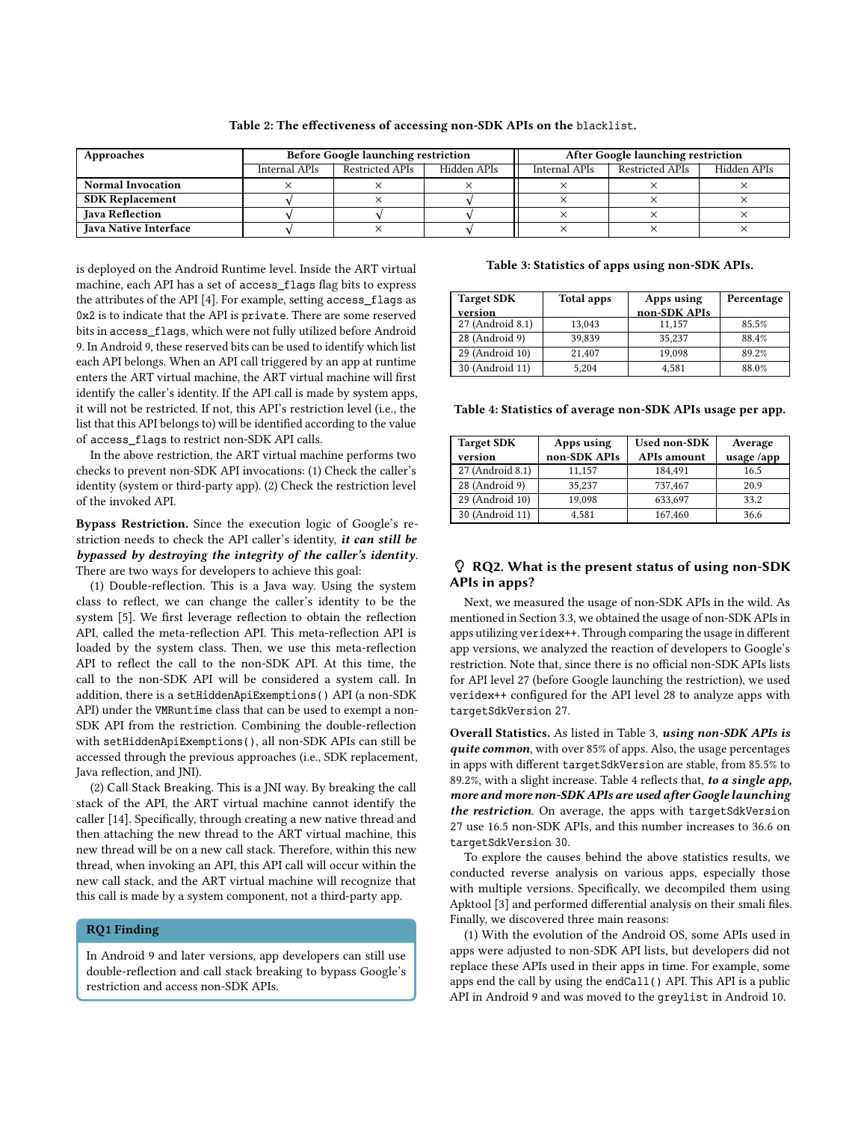| Approaches                   | <b>Before Google launching restriction</b> |                 |             | <b>After Google launching restriction</b> |                 |             |
|------------------------------|--------------------------------------------|-----------------|-------------|-------------------------------------------|-----------------|-------------|
|                              | Internal APIs                              | Restricted APIs | Hidden APIs | Internal APIs                             | Restricted APIs | Hidden APIs |
| <b>Normal Invocation</b>     |                                            |                 |             |                                           |                 |             |
| <b>SDK Replacement</b>       |                                            |                 |             |                                           |                 |             |
| <b>Java Reflection</b>       |                                            |                 |             |                                           |                 |             |
| <b>Java Native Interface</b> |                                            |                 |             |                                           |                 |             |

#### Table 2: The effectiveness of accessing non-SDK APIs on the blacklist.

is deployed on the Android Runtime level. Inside the ART virtual machine, each API has a set of access\_flags flag bits to express the attributes of the API [4]. For example, setting access\_flags as 0x2 is to indicate that the API is private. There are some reserved bits in access\_flags, which were not fully utilized before Android 9. In Android 9, these reserved bits can be used to identify which list each API belongs. When an API call triggered by an app at runtime enters the ART virtual machine, the ART virtual machine will first identify the caller's identity. If the API call is made by system apps, it will not be restricted. If not, this API's restriction level (i.e., the list that this API belongs to) will be identified according to the value of access\_flags to restrict non-SDK API calls.

In the above restriction, the ART virtual machine performs two checks to prevent non-SDK API invocations: (1) Check the caller's identity (system or third-party app). (2) Check the restriction level of the invoked API.

# Bypass Restriction. Since the execution logic of Google's restriction needs to check the API caller's identity, it can still be bypassed by destroying the integrity of the caller's identity. There are two ways for developers to achieve this goal:

(1) Double-reflection. This is a Java way. Using the system class to reflect, we can change the caller's identity to be the system [5]. We first leverage reflection to obtain the reflection API, called the meta-reflection API. This meta-reflection API is loaded by the system class. Then, we use this meta-reflection API to reflect the call to the non-SDK API. At this time, the call to the non-SDK API will be considered a system call. In addition, there is a setHiddenApiExemptions() API (a non-SDK API) under the VMRuntime class that can be used to exempt a non-SDK API from the restriction. Combining the double-reflection with setHiddenApiExemptions(), all non-SDK APIs can still be accessed through the previous approaches (i.e., SDK replacement, Java reflection, and JNI).

(2) Call Stack Breaking. This is a JNI way. By breaking the call stack of the API, the ART virtual machine cannot identify the caller [14]. Specifically, through creating a new native thread and then attaching the new thread to the ART virtual machine, this new thread will be on a new call stack. Therefore, within this new thread, when invoking an API, this API call will occur within the new call stack, and the ART virtual machine will recognize that this call is made by a system component, not a third-party app.

### RQ1 Finding

In Android 9 and later versions, app developers can still use double-reflection and call stack breaking to bypass Google's restriction and access non-SDK APIs.

#### Table 3: Statistics of apps using non-SDK APIs.

| <b>Target SDK</b> | Total apps | Apps using   | Percentage |
|-------------------|------------|--------------|------------|
| version           |            | non-SDK APIs |            |
| 27 (Android 8.1)  | 13.043     | 11.157       | 85.5%      |
| 28 (Android 9)    | 39,839     | 35.237       | 88.4%      |
| 29 (Android 10)   | 21.407     | 19,098       | 89.2%      |
| 30 (Android 11)   | 5.204      | 4.581        | 88.0%      |

Table 4: Statistics of average non-SDK APIs usage per app.

| <b>Target SDK</b> | Apps using   | <b>Used non-SDK</b> | Average    |
|-------------------|--------------|---------------------|------------|
| version           | non-SDK APIs | <b>APIs amount</b>  | usage /app |
| 27 (Android 8.1)  | 11,157       | 184.491             | 16.5       |
| 28 (Android 9)    | 35,237       | 737,467             | 20.9       |
| 29 (Android 10)   | 19.098       | 633,697             | 33.2       |
| 30 (Android 11)   | 4.581        | 167,460             | 36.6       |

### RQ2. What is the present status of using non-SDK APIs in apps?

Next, we measured the usage of non-SDK APIs in the wild. As mentioned in Section 3.3, we obtained the usage of non-SDK APIs in apps utilizing veridex++. Through comparing the usage in different app versions, we analyzed the reaction of developers to Google's restriction. Note that, since there is no official non-SDK APIs lists for API level 27 (before Google launching the restriction), we used veridex++ configured for the API level 28 to analyze apps with targetSdkVersion 27.

Overall Statistics. As listed in Table 3, using non-SDK APIs is quite common, with over 85% of apps. Also, the usage percentages in apps with different targetSdkVersion are stable, from 85.5% to 89.2%, with a slight increase. Table 4 reflects that, to a single app, more and more non-SDK APIs are used after Google launching the restriction. On average, the apps with targetSdkVersion 27 use 16.5 non-SDK APIs, and this number increases to 36.6 on targetSdkVersion 30.

To explore the causes behind the above statistics results, we conducted reverse analysis on various apps, especially those with multiple versions. Specifically, we decompiled them using Apktool [3] and performed differential analysis on their smali files. Finally, we discovered three main reasons:

(1) With the evolution of the Android OS, some APIs used in apps were adjusted to non-SDK API lists, but developers did not replace these APIs used in their apps in time. For example, some apps end the call by using the endCall() API. This API is a public API in Android 9 and was moved to the greylist in Android 10.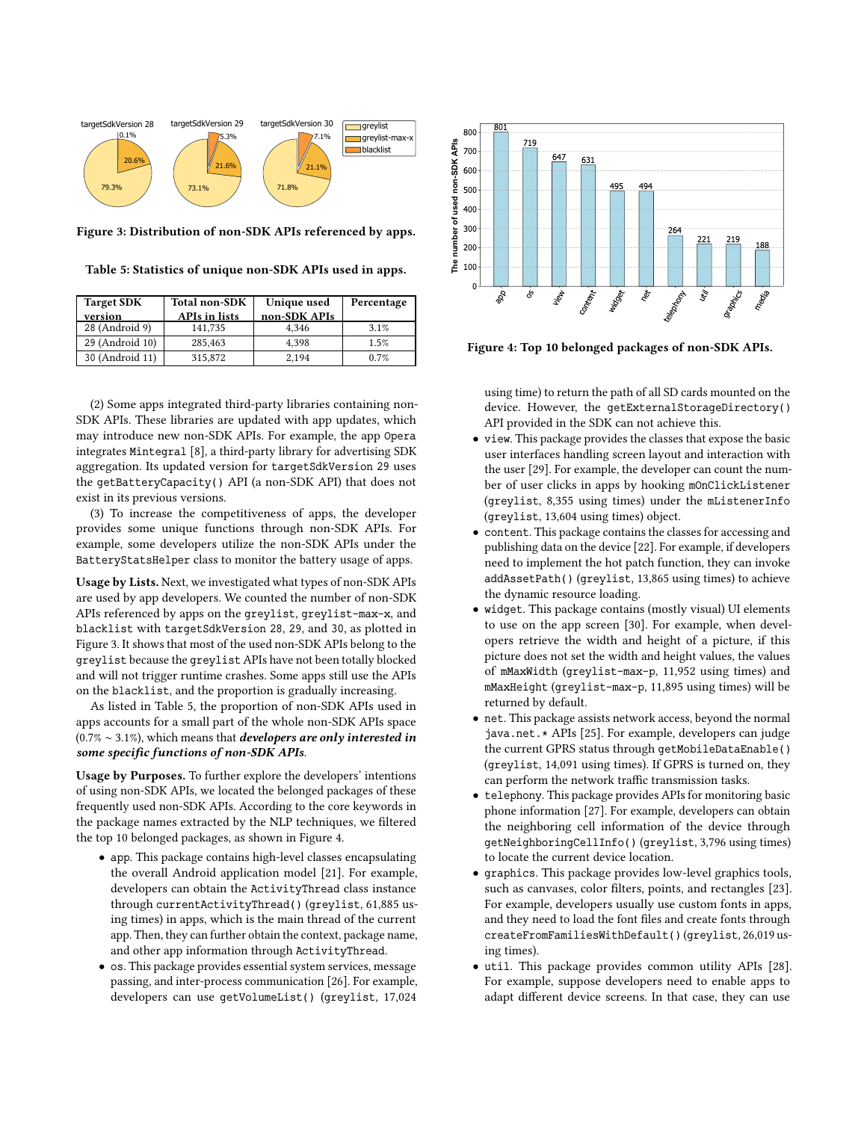

Figure 3: Distribution of non-SDK APIs referenced by apps.

Table 5: Statistics of unique non-SDK APIs used in apps.

| <b>Target SDK</b> | <b>Total non-SDK</b> | Unique used  | Percentage |
|-------------------|----------------------|--------------|------------|
| version           | <b>APIs in lists</b> | non-SDK APIs |            |
| 28 (Android 9)    | 141.735              | 4.346        | 3.1%       |
| 29 (Android 10)   | 285,463              | 4.398        | 1.5%       |
| 30 (Android 11)   | 315,872              | 2.194        | 0.7%       |

(2) Some apps integrated third-party libraries containing non-SDK APIs. These libraries are updated with app updates, which may introduce new non-SDK APIs. For example, the app Opera integrates Mintegral [8], a third-party library for advertising SDK aggregation. Its updated version for targetSdkVersion 29 uses the getBatteryCapacity() API (a non-SDK API) that does not exist in its previous versions.

(3) To increase the competitiveness of apps, the developer provides some unique functions through non-SDK APIs. For example, some developers utilize the non-SDK APIs under the BatteryStatsHelper class to monitor the battery usage of apps.

Usage by Lists. Next, we investigated what types of non-SDK APIs are used by app developers. We counted the number of non-SDK APIs referenced by apps on the greylist, greylist-max-x, and blacklist with targetSdkVersion 28, 29, and 30, as plotted in Figure 3. It shows that most of the used non-SDK APIs belong to the greylist because the greylist APIs have not been totally blocked and will not trigger runtime crashes. Some apps still use the APIs on the blacklist, and the proportion is gradually increasing.

As listed in Table 5, the proportion of non-SDK APIs used in apps accounts for a small part of the whole non-SDK APIs space  $(0.7\% \sim 3.1\%)$ , which means that *developers are only interested in* some specific functions of non-SDK APIs.

Usage by Purposes. To further explore the developers' intentions of using non-SDK APIs, we located the belonged packages of these frequently used non-SDK APIs. According to the core keywords in the package names extracted by the NLP techniques, we filtered the top 10 belonged packages, as shown in Figure 4.

- app. This package contains high-level classes encapsulating the overall Android application model [21]. For example, developers can obtain the ActivityThread class instance through currentActivityThread() (greylist, 61,885 using times) in apps, which is the main thread of the current app. Then, they can further obtain the context, package name, and other app information through ActivityThread.
- os. This package provides essential system services, message passing, and inter-process communication [26]. For example, developers can use getVolumeList() (greylist, 17,024



Figure 4: Top 10 belonged packages of non-SDK APIs.

using time) to return the path of all SD cards mounted on the device. However, the qetExternalStorageDirectory() API provided in the SDK can not achieve this.

- view. This package provides the classes that expose the basic user interfaces handling screen layout and interaction with the user [29]. For example, the developer can count the number of user clicks in apps by hooking mOnClickListener (greylist, 8,355 using times) under the mListenerInfo (greylist, 13,604 using times) object.
- content. This package contains the classes for accessing and publishing data on the device [22]. For example, if developers need to implement the hot patch function, they can invoke addAssetPath() (greylist, 13,865 using times) to achieve the dynamic resource loading.
- widget. This package contains (mostly visual) UI elements to use on the app screen [30]. For example, when developers retrieve the width and height of a picture, if this picture does not set the width and height values, the values of mMaxWidth (greylist-max-p, 11,952 using times) and mMaxHeight (greylist-max-p, 11,895 using times) will be returned by default.
- net. This package assists network access, beyond the normal java.net.\* APIs [25]. For example, developers can judge the current GPRS status through getMobileDataEnable() (greylist, 14,091 using times). If GPRS is turned on, they can perform the network traffic transmission tasks.
- telephony. This package provides APIs for monitoring basic phone information [27]. For example, developers can obtain the neighboring cell information of the device through getNeighboringCellInfo() (greylist, 3,796 using times) to locate the current device location.
- graphics. This package provides low-level graphics tools, such as canvases, color filters, points, and rectangles [23]. For example, developers usually use custom fonts in apps, and they need to load the font files and create fonts through createFromFamiliesWithDefault() (greylist, 26,019 using times).
- util. This package provides common utility APIs [28]. For example, suppose developers need to enable apps to adapt different device screens. In that case, they can use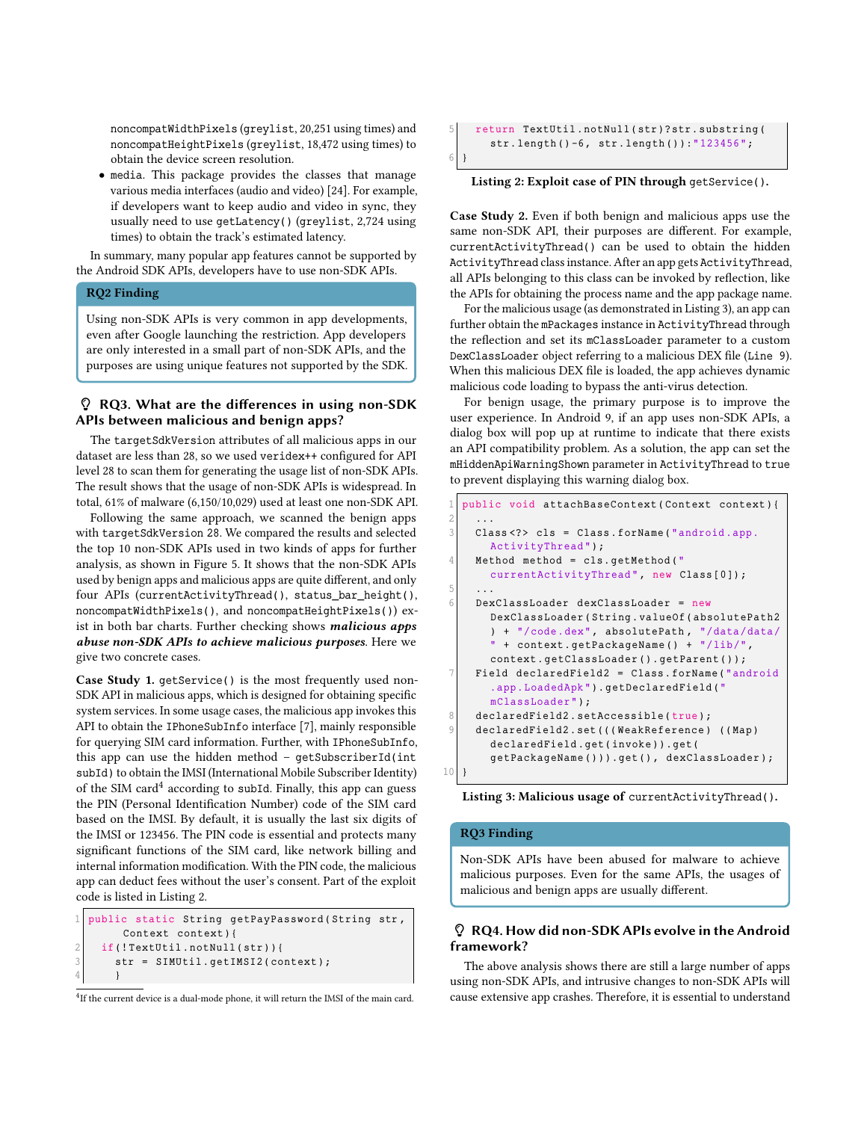noncompatWidthPixels (greylist, 20,251 using times) and noncompatHeightPixels (greylist, 18,472 using times) to obtain the device screen resolution.

• media. This package provides the classes that manage various media interfaces (audio and video) [24]. For example, if developers want to keep audio and video in sync, they usually need to use getLatency() (greylist, 2,724 using times) to obtain the track's estimated latency.

In summary, many popular app features cannot be supported by the Android SDK APIs, developers have to use non-SDK APIs.

### RQ2 Finding

Using non-SDK APIs is very common in app developments, even after Google launching the restriction. App developers are only interested in a small part of non-SDK APIs, and the purposes are using unique features not supported by the SDK.

# RQ3. What are the differences in using non-SDK APIs between malicious and benign apps?

The targetSdkVersion attributes of all malicious apps in our dataset are less than 28, so we used veridex++ configured for API level 28 to scan them for generating the usage list of non-SDK APIs. The result shows that the usage of non-SDK APIs is widespread. In total, 61% of malware (6,150/10,029) used at least one non-SDK API.

Following the same approach, we scanned the benign apps with targetSdkVersion 28. We compared the results and selected the top 10 non-SDK APIs used in two kinds of apps for further analysis, as shown in Figure 5. It shows that the non-SDK APIs used by benign apps and malicious apps are quite different, and only four APIs (currentActivityThread(), status\_bar\_height(), noncompatWidthPixels(), and noncompatHeightPixels()) exist in both bar charts. Further checking shows *malicious* apps abuse non-SDK APIs to achieve malicious purposes. Here we give two concrete cases.

Case Study 1. getService() is the most frequently used non-SDK API in malicious apps, which is designed for obtaining specific system services. In some usage cases, the malicious app invokes this API to obtain the IPhoneSubInfo interface [7], mainly responsible for querying SIM card information. Further, with IPhoneSubInfo, this app can use the hidden method – getSubscriberId(int subId) to obtain the IMSI (International Mobile Subscriber Identity) of the SIM card $4$  according to subId. Finally, this app can guess the PIN (Personal Identification Number) code of the SIM card based on the IMSI. By default, it is usually the last six digits of the IMSI or 123456. The PIN code is essential and protects many significant functions of the SIM card, like network billing and internal information modification. With the PIN code, the malicious app can deduct fees without the user's consent. Part of the exploit code is listed in Listing 2.

```
public static String getPayPassword ( String str,
       Context context ) {
2 \mid if (!TextUtil.notNull(str))3 str = SIMUtil.getIMSI2(context);
      \}
```
<sup>4</sup>If the current device is a dual-mode phone, it will return the IMSI of the main card.

```
5 return TextUtil . notNull ( str ) ? str . substring (
       str.length()-6, str.length()):"123456";
6 }
```
#### Listing 2: Exploit case of PIN through getService().

Case Study 2. Even if both benign and malicious apps use the same non-SDK API, their purposes are different. For example, currentActivityThread() can be used to obtain the hidden ActivityThread class instance. After an app gets ActivityThread, all APIs belonging to this class can be invoked by reflection, like the APIs for obtaining the process name and the app package name.

For the malicious usage (as demonstrated in Listing 3), an app can further obtain the mPackages instance in ActivityThread through the reflection and set its mClassLoader parameter to a custom DexClassLoader object referring to a malicious DEX file (Line 9). When this malicious DEX file is loaded, the app achieves dynamic malicious code loading to bypass the anti-virus detection.

For benign usage, the primary purpose is to improve the user experience. In Android 9, if an app uses non-SDK APIs, a dialog box will pop up at runtime to indicate that there exists an API compatibility problem. As a solution, the app can set the mHiddenApiWarningShown parameter in ActivityThread to true to prevent displaying this warning dialog box.

```
public void attachBaseContext ( Context context ) {
 2 ...
     Class <? > cls = Class . forName ("android . app.
       ActivityThread ") ;
     Method method = cls. getMethod ("
       currentActivityThread ", new Class [0]) ;
 5 ...
     6 DexClassLoader dexClassLoader = new
       DexClassLoader ( String . valueOf ( absolutePath2
        ) + "/ code . dex ", absolutePath , "/ data / data /
        " + context . getPackageName () + "/ lib /",
        context . getClassLoader () . getParent () ) ;
     Field declaredField2 = Class.forName("android
        . app . LoadedApk ") . getDeclaredField ("
        mClassLoader ") ;
8 declaredField2.setAccessible (true) ;
     declaredField2.set (((WeakReference) ((Map)
        declaredField . get ( invoke ) ) . get (
        getPackageName () ) ) . get () , dexClassLoader ) ;
10 }
```
Listing 3: Malicious usage of currentActivityThread().

### RQ3 Finding

Non-SDK APIs have been abused for malware to achieve malicious purposes. Even for the same APIs, the usages of malicious and benign apps are usually different.

# RQ4. How did non-SDK APIs evolve in the Android framework?

The above analysis shows there are still a large number of apps using non-SDK APIs, and intrusive changes to non-SDK APIs will cause extensive app crashes. Therefore, it is essential to understand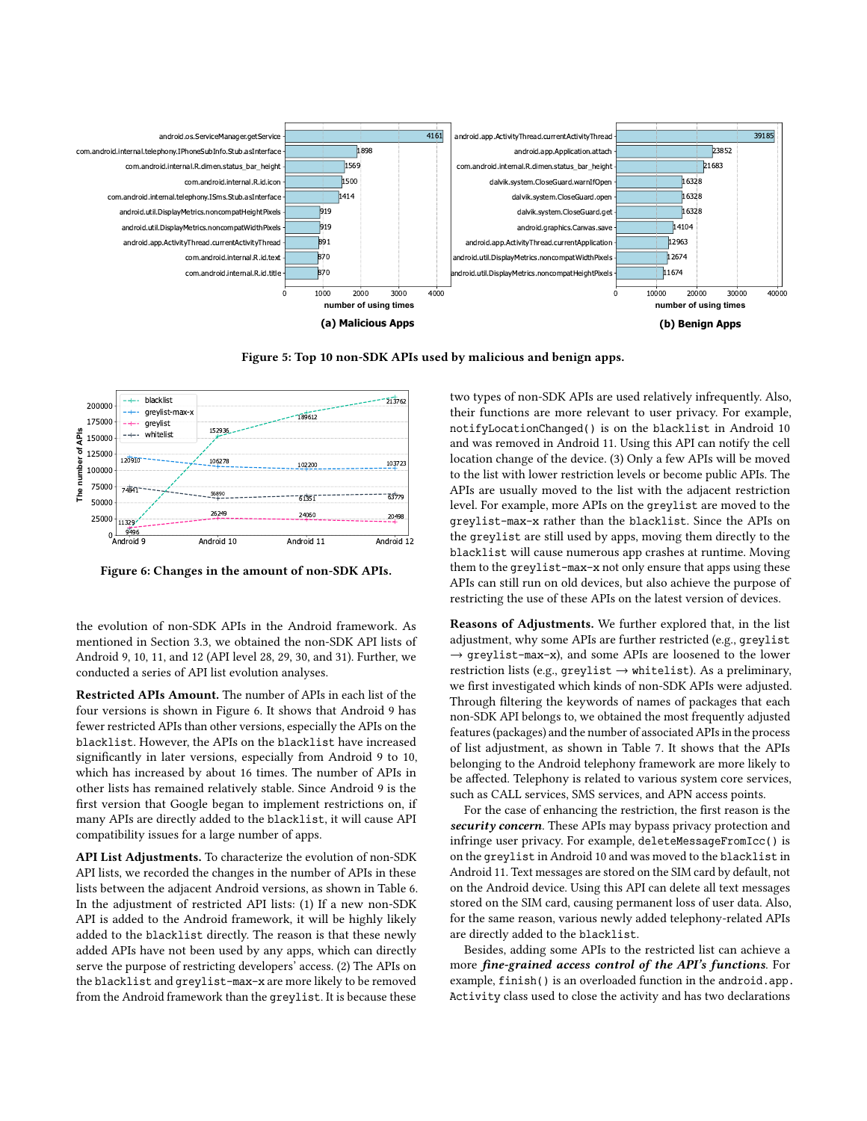

Figure 5: Top 10 non-SDK APIs used by malicious and benign apps.



Figure 6: Changes in the amount of non-SDK APIs.

the evolution of non-SDK APIs in the Android framework. As mentioned in Section 3.3, we obtained the non-SDK API lists of Android 9, 10, 11, and 12 (API level 28, 29, 30, and 31). Further, we conducted a series of API list evolution analyses.

Restricted APIs Amount. The number of APIs in each list of the four versions is shown in Figure 6. It shows that Android 9 has fewer restricted APIs than other versions, especially the APIs on the blacklist. However, the APIs on the blacklist have increased significantly in later versions, especially from Android 9 to 10, which has increased by about 16 times. The number of APIs in other lists has remained relatively stable. Since Android 9 is the first version that Google began to implement restrictions on, if many APIs are directly added to the blacklist, it will cause API compatibility issues for a large number of apps.

API List Adjustments. To characterize the evolution of non-SDK API lists, we recorded the changes in the number of APIs in these lists between the adjacent Android versions, as shown in Table 6. In the adjustment of restricted API lists: (1) If a new non-SDK API is added to the Android framework, it will be highly likely added to the blacklist directly. The reason is that these newly added APIs have not been used by any apps, which can directly serve the purpose of restricting developers' access. (2) The APIs on the blacklist and greylist-max-x are more likely to be removed from the Android framework than the greylist. It is because these

two types of non-SDK APIs are used relatively infrequently. Also, their functions are more relevant to user privacy. For example, notifyLocationChanged() is on the blacklist in Android 10 and was removed in Android 11. Using this API can notify the cell location change of the device. (3) Only a few APIs will be moved to the list with lower restriction levels or become public APIs. The APIs are usually moved to the list with the adjacent restriction level. For example, more APIs on the greylist are moved to the greylist-max-x rather than the blacklist. Since the APIs on the greylist are still used by apps, moving them directly to the blacklist will cause numerous app crashes at runtime. Moving them to the greylist-max-x not only ensure that apps using these APIs can still run on old devices, but also achieve the purpose of restricting the use of these APIs on the latest version of devices.

Reasons of Adjustments. We further explored that, in the list adjustment, why some APIs are further restricted (e.g., greylist → greylist-max-x), and some APIs are loosened to the lower restriction lists (e.g., greylist  $\rightarrow$  whitelist). As a preliminary, we first investigated which kinds of non-SDK APIs were adjusted. Through filtering the keywords of names of packages that each non-SDK API belongs to, we obtained the most frequently adjusted features (packages) and the number of associated APIs in the process of list adjustment, as shown in Table 7. It shows that the APIs belonging to the Android telephony framework are more likely to be affected. Telephony is related to various system core services, such as CALL services, SMS services, and APN access points.

For the case of enhancing the restriction, the first reason is the security concern. These APIs may bypass privacy protection and infringe user privacy. For example, deleteMessageFromIcc() is on the greylist in Android 10 and was moved to the blacklist in Android 11. Text messages are stored on the SIM card by default, not on the Android device. Using this API can delete all text messages stored on the SIM card, causing permanent loss of user data. Also, for the same reason, various newly added telephony-related APIs are directly added to the blacklist.

Besides, adding some APIs to the restricted list can achieve a more fine-grained access control of the API's functions. For example, finish() is an overloaded function in the android.app. Activity class used to close the activity and has two declarations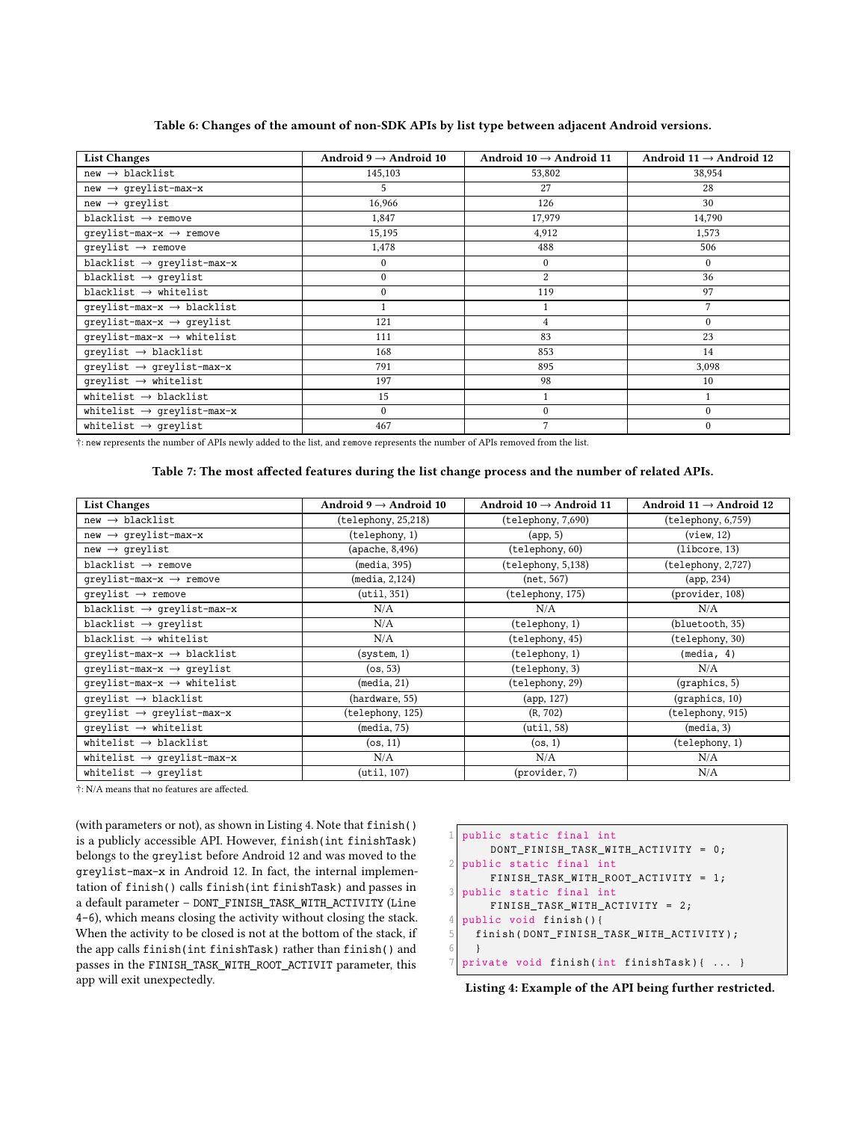Table 6: Changes of the amount of non-SDK APIs by list type between adjacent Android versions.

| <b>List Changes</b>                      | Android $9 \rightarrow$ Android 10 | Android $10 \rightarrow$ Android 11 | Android $11 \rightarrow$ Android 12 |
|------------------------------------------|------------------------------------|-------------------------------------|-------------------------------------|
| $new \rightarrow blacklist$              | 145,103                            | 53,802                              | 38,954                              |
| $new \rightarrow qrevlist-max-x$         | 5.                                 | 27                                  | 28                                  |
| $new \rightarrow greylist$               | 16,966                             | 126                                 | 30                                  |
| blacklist $\rightarrow$ remove           | 1,847                              | 17,979                              | 14,790                              |
| qreylist-max- $x \rightarrow$ remove     | 15,195                             | 4,912                               | 1,573                               |
| qreylist $\rightarrow$ remove            | 1,478                              | 488                                 | 506                                 |
| blacklist $\rightarrow$ qreylist-max-x   | $\mathbf{0}$                       | $\mathbf{0}$                        | $\mathbf{0}$                        |
| blacklist $\rightarrow$ greylist         | $\mathbf{0}$                       | $\overline{2}$                      | 36                                  |
| blacklist $\rightarrow$ whitelist        | $\mathbf{0}$                       | 119                                 | 97                                  |
| qreylist-max- $x \rightarrow b$ lacklist |                                    |                                     | 7                                   |
| qreylist-max-x $\rightarrow$ qreylist    | 121                                | 4                                   | $\mathbf{0}$                        |
| qreylist-max- $x \rightarrow$ whitelist  | 111                                | 83                                  | 23                                  |
| qreylist $\rightarrow$ blacklist         | 168                                | 853                                 | 14                                  |
| $q$ reylist $\rightarrow$ greylist-max-x | 791                                | 895                                 | 3,098                               |
| qreylist $\rightarrow$ whitelist         | 197                                | 98                                  | 10                                  |
| whitelist $\rightarrow$ blacklist        | 15                                 |                                     | 1                                   |
| whitelist $\rightarrow$ qreylist-max-x   | $\mathbf{0}$                       | 0                                   | $\mathbf{0}$                        |
| whitelist $\rightarrow$ greylist         | 467                                | 7                                   | $\theta$                            |

†: new represents the number of APIs newly added to the list, and remove represents the number of APIs removed from the list.

### Table 7: The most affected features during the list change process and the number of related APIs.

| <b>List Changes</b>                      | Android $9 \rightarrow$ Android 10 | Android $10 \rightarrow$ Android 11 | Android $11 \rightarrow$ Android 12 |
|------------------------------------------|------------------------------------|-------------------------------------|-------------------------------------|
| $new \rightarrow blacklist$              | (telephony, 25,218)                | (telephony, 7,690)                  | (telephony, 6,759)                  |
| $new \rightarrow greylist-max-x$         | (telephony, 1)                     | (app, 5)                            | (view, 12)                          |
| $new \rightarrow qrevlist$               | (apache, 8,496)                    | (telephony, 60)                     | (libcore, 13)                       |
| blacklist $\rightarrow$ remove           | (media, 395)                       | (telephony, 5,138)                  | (telephony, 2,727)                  |
| qreylist-max- $x \rightarrow$ remove     | (media, 2, 124)                    | (net, 567)                          | (app, 234)                          |
| qreylist $\rightarrow$ remove            | $(\text{util}, 351)$               | (telephony, 175)                    | (provider, 108)                     |
| blacklist $\rightarrow$ qreylist-max-x   | N/A                                | N/A                                 | N/A                                 |
| blacklist $\rightarrow$ greylist         | N/A                                | (telephony, 1)                      | (bluetooth, 35)                     |
| blacklist $\rightarrow$ whitelist        | N/A                                | (telephony, 45)                     | (telephony, 30)                     |
| qreylist-max- $x \rightarrow b$ lacklist | (system, 1)                        | (telephony, 1)                      | (media, 4)                          |
| qreylist-max-x $\rightarrow$ qreylist    | (os, 53)                           | (telephony, 3)                      | N/A                                 |
| qreylist-max- $x \rightarrow$ whitelist  | (media, 21)                        | (telephony, 29)                     | $(q$ raphics, 5)                    |
| qreylist $\rightarrow$ blacklist         | (hardware, 55)                     | (app, 127)                          | $(q$ raphics, $10)$                 |
| qreylist $\rightarrow$ qreylist-max-x    | (telephony, 125)                   | (R, 702)                            | (telephony, 915)                    |
| qreylist $\rightarrow$ whitelist         | (media, 75)                        | $(\text{util}, 58)$                 | (media, 3)                          |
| whitelist $\rightarrow$ blacklist        | $($ os, 11 $)$                     | $($ os, 1 $)$                       | (telephony, 1)                      |
| whitelist $\rightarrow$ qreylist-max-x   | N/A                                | N/A                                 | N/A                                 |
| whitelist $\rightarrow$ greylist         | $(\text{util}, 107)$               | (provider, 7)                       | N/A                                 |

†: N/A means that no features are affected.

(with parameters or not), as shown in Listing 4. Note that finish() is a publicly accessible API. However, finish(int finishTask) belongs to the greylist before Android 12 and was moved to the greylist-max-x in Android 12. In fact, the internal implementation of finish() calls finish(int finishTask) and passes in a default parameter – DONT\_FINISH\_TASK\_WITH\_ACTIVITY (Line 4-6), which means closing the activity without closing the stack. When the activity to be closed is not at the bottom of the stack, if the app calls finish(int finishTask) rather than finish() and passes in the FINISH\_TASK\_WITH\_ROOT\_ACTIVIT parameter, this app will exit unexpectedly.

```
public static final int
      DONT_FINISH_TASK_WITH_ACTIVITY = 0;
2 public static final int
      FINISH_TASK_WITH_ROOT_ACTIVITY = 1;
  public static final int
      FINISH_TASK_WITH_ACTIVITY = 2;
  4 public void finish () {
5 finish ( DONT_FINISH_TASK_WITH_ACTIVITY ) ;
    6 }
  private void finish (int finishTask) { ... }
```
Listing 4: Example of the API being further restricted.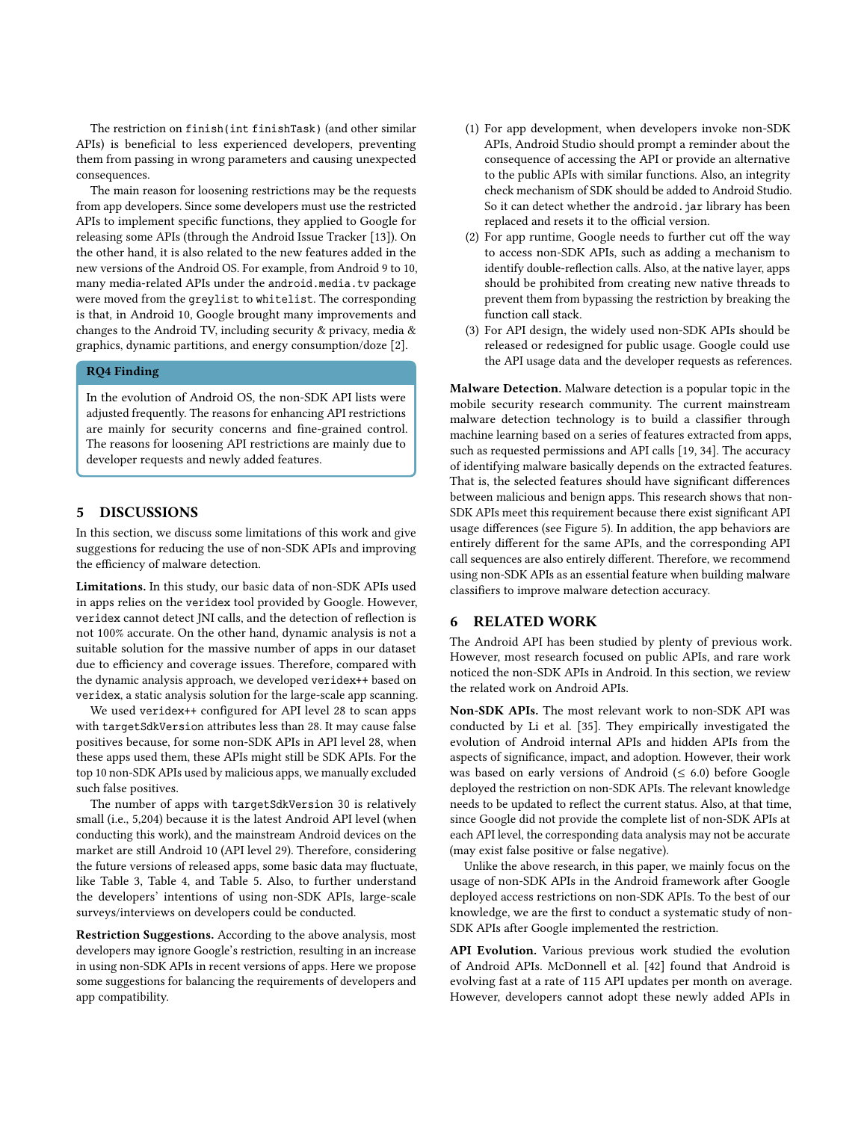The restriction on finish(int finishTask) (and other similar APIs) is beneficial to less experienced developers, preventing them from passing in wrong parameters and causing unexpected consequences.

The main reason for loosening restrictions may be the requests from app developers. Since some developers must use the restricted APIs to implement specific functions, they applied to Google for releasing some APIs (through the Android Issue Tracker [13]). On the other hand, it is also related to the new features added in the new versions of the Android OS. For example, from Android 9 to 10, many media-related APIs under the android.media.tv package were moved from the greylist to whitelist. The corresponding is that, in Android 10, Google brought many improvements and changes to the Android TV, including security & privacy, media & graphics, dynamic partitions, and energy consumption/doze [2].

# RQ4 Finding

In the evolution of Android OS, the non-SDK API lists were adjusted frequently. The reasons for enhancing API restrictions are mainly for security concerns and fine-grained control. The reasons for loosening API restrictions are mainly due to developer requests and newly added features.

# 5 DISCUSSIONS

In this section, we discuss some limitations of this work and give suggestions for reducing the use of non-SDK APIs and improving the efficiency of malware detection.

Limitations. In this study, our basic data of non-SDK APIs used in apps relies on the veridex tool provided by Google. However, veridex cannot detect JNI calls, and the detection of reflection is not 100% accurate. On the other hand, dynamic analysis is not a suitable solution for the massive number of apps in our dataset due to efficiency and coverage issues. Therefore, compared with the dynamic analysis approach, we developed veridex++ based on veridex, a static analysis solution for the large-scale app scanning.

We used veridex++ configured for API level 28 to scan apps with targetSdkVersion attributes less than 28. It may cause false positives because, for some non-SDK APIs in API level 28, when these apps used them, these APIs might still be SDK APIs. For the top 10 non-SDK APIs used by malicious apps, we manually excluded such false positives.

The number of apps with targetSdkVersion 30 is relatively small (i.e., 5,204) because it is the latest Android API level (when conducting this work), and the mainstream Android devices on the market are still Android 10 (API level 29). Therefore, considering the future versions of released apps, some basic data may fluctuate, like Table 3, Table 4, and Table 5. Also, to further understand the developers' intentions of using non-SDK APIs, large-scale surveys/interviews on developers could be conducted.

Restriction Suggestions. According to the above analysis, most developers may ignore Google's restriction, resulting in an increase in using non-SDK APIs in recent versions of apps. Here we propose some suggestions for balancing the requirements of developers and app compatibility.

- (1) For app development, when developers invoke non-SDK APIs, Android Studio should prompt a reminder about the consequence of accessing the API or provide an alternative to the public APIs with similar functions. Also, an integrity check mechanism of SDK should be added to Android Studio. So it can detect whether the android.jar library has been replaced and resets it to the official version.
- (2) For app runtime, Google needs to further cut off the way to access non-SDK APIs, such as adding a mechanism to identify double-reflection calls. Also, at the native layer, apps should be prohibited from creating new native threads to prevent them from bypassing the restriction by breaking the function call stack.
- (3) For API design, the widely used non-SDK APIs should be released or redesigned for public usage. Google could use the API usage data and the developer requests as references.

Malware Detection. Malware detection is a popular topic in the mobile security research community. The current mainstream malware detection technology is to build a classifier through machine learning based on a series of features extracted from apps, such as requested permissions and API calls [19, 34]. The accuracy of identifying malware basically depends on the extracted features. That is, the selected features should have significant differences between malicious and benign apps. This research shows that non-SDK APIs meet this requirement because there exist significant API usage differences (see Figure 5). In addition, the app behaviors are entirely different for the same APIs, and the corresponding API call sequences are also entirely different. Therefore, we recommend using non-SDK APIs as an essential feature when building malware classifiers to improve malware detection accuracy.

# 6 RELATED WORK

The Android API has been studied by plenty of previous work. However, most research focused on public APIs, and rare work noticed the non-SDK APIs in Android. In this section, we review the related work on Android APIs.

Non-SDK APIs. The most relevant work to non-SDK API was conducted by Li et al. [35]. They empirically investigated the evolution of Android internal APIs and hidden APIs from the aspects of significance, impact, and adoption. However, their work was based on early versions of Android ( $\leq 6.0$ ) before Google deployed the restriction on non-SDK APIs. The relevant knowledge needs to be updated to reflect the current status. Also, at that time, since Google did not provide the complete list of non-SDK APIs at each API level, the corresponding data analysis may not be accurate (may exist false positive or false negative).

Unlike the above research, in this paper, we mainly focus on the usage of non-SDK APIs in the Android framework after Google deployed access restrictions on non-SDK APIs. To the best of our knowledge, we are the first to conduct a systematic study of non-SDK APIs after Google implemented the restriction.

API Evolution. Various previous work studied the evolution of Android APIs. McDonnell et al. [42] found that Android is evolving fast at a rate of 115 API updates per month on average. However, developers cannot adopt these newly added APIs in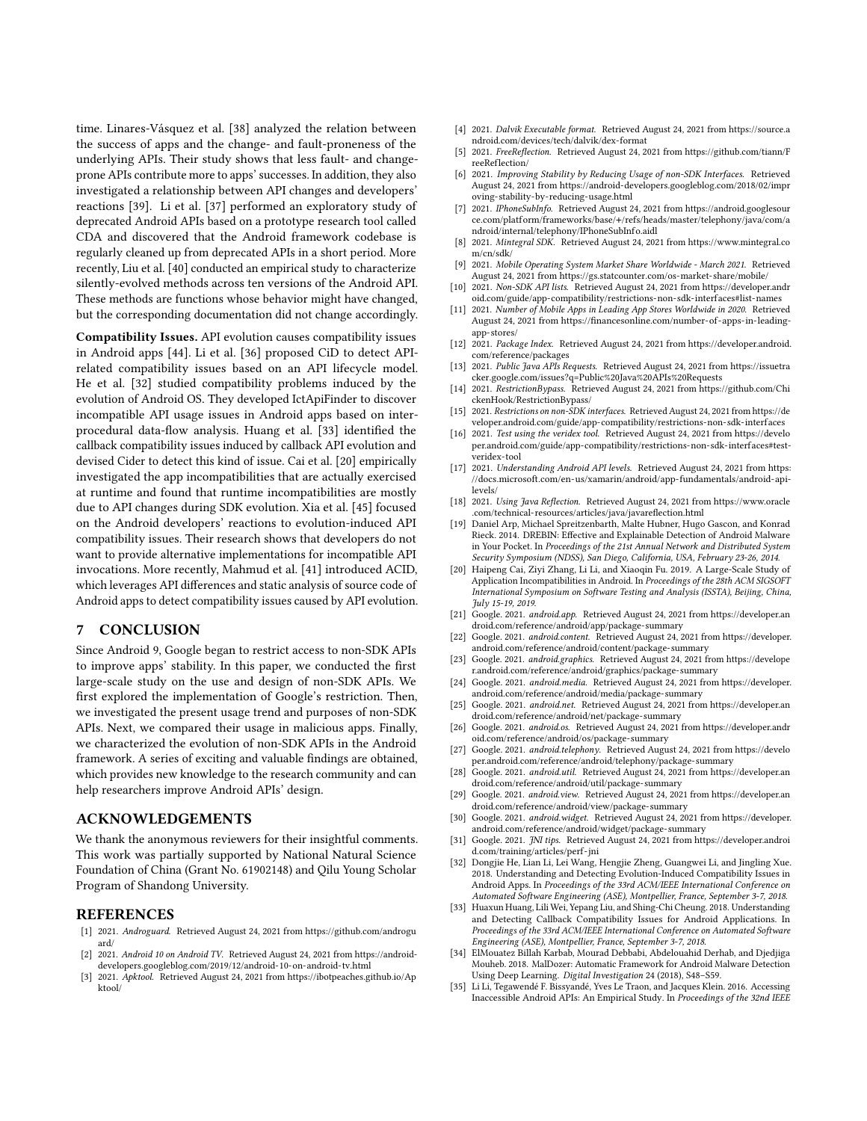time. Linares-Vásquez et al. [38] analyzed the relation between the success of apps and the change- and fault-proneness of the underlying APIs. Their study shows that less fault- and changeprone APIs contribute more to apps' successes. In addition, they also investigated a relationship between API changes and developers' reactions [39]. Li et al. [37] performed an exploratory study of deprecated Android APIs based on a prototype research tool called CDA and discovered that the Android framework codebase is regularly cleaned up from deprecated APIs in a short period. More recently, Liu et al. [40] conducted an empirical study to characterize silently-evolved methods across ten versions of the Android API. These methods are functions whose behavior might have changed, but the corresponding documentation did not change accordingly.

Compatibility Issues. API evolution causes compatibility issues in Android apps [44]. Li et al. [36] proposed CiD to detect APIrelated compatibility issues based on an API lifecycle model. He et al. [32] studied compatibility problems induced by the evolution of Android OS. They developed IctApiFinder to discover incompatible API usage issues in Android apps based on interprocedural data-flow analysis. Huang et al. [33] identified the callback compatibility issues induced by callback API evolution and devised Cider to detect this kind of issue. Cai et al. [20] empirically investigated the app incompatibilities that are actually exercised at runtime and found that runtime incompatibilities are mostly due to API changes during SDK evolution. Xia et al. [45] focused on the Android developers' reactions to evolution-induced API compatibility issues. Their research shows that developers do not want to provide alternative implementations for incompatible API invocations. More recently, Mahmud et al. [41] introduced ACID, which leverages API differences and static analysis of source code of Android apps to detect compatibility issues caused by API evolution.

### 7 CONCLUSION

Since Android 9, Google began to restrict access to non-SDK APIs to improve apps' stability. In this paper, we conducted the first large-scale study on the use and design of non-SDK APIs. We first explored the implementation of Google's restriction. Then, we investigated the present usage trend and purposes of non-SDK APIs. Next, we compared their usage in malicious apps. Finally, we characterized the evolution of non-SDK APIs in the Android framework. A series of exciting and valuable findings are obtained, which provides new knowledge to the research community and can help researchers improve Android APIs' design.

# ACKNOWLEDGEMENTS

We thank the anonymous reviewers for their insightful comments. This work was partially supported by National Natural Science Foundation of China (Grant No. 61902148) and Qilu Young Scholar Program of Shandong University.

#### REFERENCES

- [1] 2021. Androguard. Retrieved August 24, 2021 from https://github.com/androgu ard/
- [2] 2021. Android 10 on Android TV. Retrieved August 24, 2021 from https://androiddevelopers.googleblog.com/2019/12/android-10-on-android-tv.html
- [3] 2021. Apktool. Retrieved August 24, 2021 from https://ibotpeaches.github.io/Ap ktool/
- [4] 2021. Dalvik Executable format. Retrieved August 24, 2021 from https://source.a ndroid.com/devices/tech/dalvik/dex-format
- [5] 2021. FreeReflection. Retrieved August 24, 2021 from https://github.com/tiann/F reeReflection/
- [6] 2021. Improving Stability by Reducing Usage of non-SDK Interfaces. Retrieved August 24, 2021 from https://android-developers.googleblog.com/2018/02/impr oving-stability-by-reducing-usage.html
- [7] 2021. IPhoneSubInfo. Retrieved August 24, 2021 from https://android.googlesour ce.com/platform/frameworks/base/+/refs/heads/master/telephony/java/com/a ndroid/internal/telephony/IPhoneSubInfo.aidl
- [8] 2021. Mintegral SDK. Retrieved August 24, 2021 from https://www.mintegral.co m/cn/sdk/
- [9] 2021. Mobile Operating System Market Share Worldwide March 2021. Retrieved August 24, 2021 from https://gs.statcounter.com/os-market-share/mobile/
- [10] 2021. Non-SDK API lists. Retrieved August 24, 2021 from https://developer.andr oid.com/guide/app-compatibility/restrictions-non-sdk-interfaces#list-names
- [11] 2021. Number of Mobile Apps in Leading App Stores Worldwide in 2020. Retrieved August 24, 2021 from https://financesonline.com/number-of-apps-in-leadingapp-stores/
- [12] 2021. Package Index. Retrieved August 24, 2021 from https://developer.android. com/reference/packages
- [13] 2021. Public Java APIs Requests. Retrieved August 24, 2021 from https://issuetra cker.google.com/issues?q=Public%20Java%20APIs%20Requests
- [14] 2021. RestrictionBypass. Retrieved August 24, 2021 from https://github.com/Chi ckenHook/RestrictionBypass/
- [15] 2021. Restrictions on non-SDK interfaces. Retrieved August 24, 2021 from https://de veloper.android.com/guide/app-compatibility/restrictions-non-sdk-interfaces
- [16] 2021. Test using the veridex tool. Retrieved August 24, 2021 from https://develo per.android.com/guide/app-compatibility/restrictions-non-sdk-interfaces#test-.<br>veridex-tool
- [17] 2021. Understanding Android API levels. Retrieved August 24, 2021 from https: //docs.microsoft.com/en-us/xamarin/android/app-fundamentals/android-apilevels/
- [18] 2021. Using Java Reflection. Retrieved August 24, 2021 from https://www.oracle .com/technical-resources/articles/java/javareflection.html
- [19] Daniel Arp, Michael Spreitzenbarth, Malte Hubner, Hugo Gascon, and Konrad Rieck. 2014. DREBIN: Effective and Explainable Detection of Android Malware in Your Pocket. In Proceedings of the 21st Annual Network and Distributed System Security Symposium (NDSS), San Diego, California, USA, February 23-26, 2014.
- [20] Haipeng Cai, Ziyi Zhang, Li Li, and Xiaoqin Fu. 2019. A Large-Scale Study of Application Incompatibilities in Android. In Proceedings of the 28th ACM SIGSOFT International Symposium on Software Testing and Analysis (ISSTA), Beijing, China, July 15-19, 2019.
- [21] Google. 2021. android.app. Retrieved August 24, 2021 from https://developer.an droid.com/reference/android/app/package-summary
- [22] Google. 2021. android.content. Retrieved August 24, 2021 from https://developer. android.com/reference/android/content/package-summary
- [23] Google. 2021. android.graphics. Retrieved August 24, 2021 from https://develope r.android.com/reference/android/graphics/package-summary
- [24] Google. 2021. android.media. Retrieved August 24, 2021 from https://developer. android.com/reference/android/media/package-summary
- [25] Google. 2021. android.net. Retrieved August 24, 2021 from https://developer.an droid.com/reference/android/net/package-summary
- [26] Google. 2021. android.os. Retrieved August 24, 2021 from https://developer.andr oid.com/reference/android/os/package-summary
- [27] Google. 2021. android.telephony. Retrieved August 24, 2021 from https://develo per.android.com/reference/android/telephony/package-summary
- [28] Google. 2021. android.util. Retrieved August 24, 2021 from https://developer.an droid.com/reference/android/util/package-summary
- [29] Google. 2021. android.view. Retrieved August 24, 2021 from https://developer.an droid.com/reference/android/view/package-summary
- [30] Google. 2021. android.widget. Retrieved August 24, 2021 from https://developer. android.com/reference/android/widget/package-summary
- [31] Google. 2021. JNI tips. Retrieved August 24, 2021 from https://developer.androi d.com/training/articles/perf -jni
- [32] Dongjie He, Lian Li, Lei Wang, Hengjie Zheng, Guangwei Li, and Jingling Xue. 2018. Understanding and Detecting Evolution-Induced Compatibility Issues in Android Apps. In Proceedings of the 33rd ACM/IEEE International Conference on Automated Software Engineering (ASE), Montpellier, France, September 3-7, 2018.
- [33] Huaxun Huang, Lili Wei, Yepang Liu, and Shing-Chi Cheung. 2018. Understanding and Detecting Callback Compatibility Issues for Android Applications. In Proceedings of the 33rd ACM/IEEE International Conference on Automated Software Engineering (ASE), Montpellier, France, September 3-7, 2018.
- [34] ElMouatez Billah Karbab, Mourad Debbabi, Abdelouahid Derhab, and Djedjiga Mouheb. 2018. MalDozer: Automatic Framework for Android Malware Detection Using Deep Learning. Digital Investigation 24 (2018), S48–S59.
- [35] Li Li, Tegawendé F. Bissyandé, Yves Le Traon, and Jacques Klein. 2016. Accessing Inaccessible Android APIs: An Empirical Study. In Proceedings of the 32nd IEEE